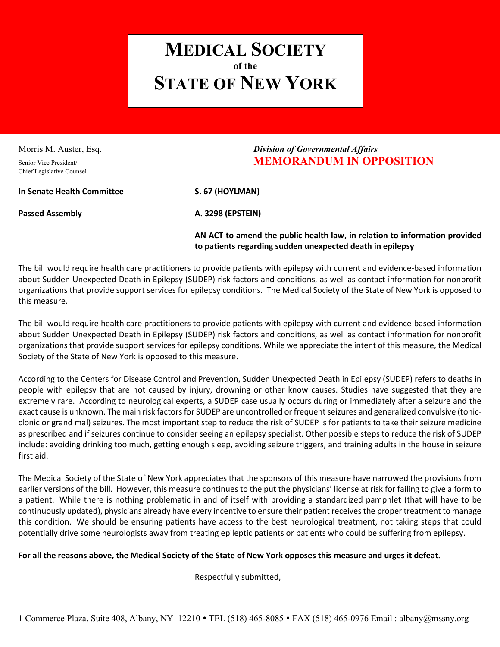## **MEDICAL SOCIETY of the STATE OF NEW YORK**

Chief Legislative Counsel

## Morris M. Auster, Esq. *Division of Governmental Affairs* Senior Vice President/ **MEMORANDUM IN OPPOSITION**

**In Senate Health Committee S. 67 (HOYLMAN)**

**Passed Assembly A. 3298 (EPSTEIN)** 

**AN ACT to amend the public health law, in relation to information provided to patients regarding sudden unexpected death in epilepsy**

The bill would require health care practitioners to provide patients with epilepsy with current and evidence-based information about Sudden Unexpected Death in Epilepsy (SUDEP) risk factors and conditions, as well as contact information for nonprofit organizations that provide support services for epilepsy conditions. The Medical Society of the State of New York is opposed to this measure.

The bill would require health care practitioners to provide patients with epilepsy with current and evidence-based information about Sudden Unexpected Death in Epilepsy (SUDEP) risk factors and conditions, as well as contact information for nonprofit organizations that provide support services for epilepsy conditions. While we appreciate the intent of this measure, the Medical Society of the State of New York is opposed to this measure.

According to the Centers for Disease Control and Prevention, Sudden Unexpected Death in Epilepsy (SUDEP) refers to deaths in people with epilepsy that are not caused by injury, drowning or other know causes. Studies have suggested that they are extremely rare. According to neurological experts, a SUDEP case usually occurs during or immediately after a seizure and the exact cause is unknown. The main risk factors for SUDEP are uncontrolled or frequent seizures and generalized convulsive (tonicclonic or grand mal) seizures. The most important step to reduce the risk of SUDEP is for patients to take their seizure medicine as prescribed and if seizures continue to consider seeing an epilepsy specialist. Other possible steps to reduce the risk of SUDEP include: avoiding drinking too much, getting enough sleep, avoiding seizure triggers, and training adults in the house in seizure first aid.

The Medical Society of the State of New York appreciates that the sponsors of this measure have narrowed the provisions from earlier versions of the bill. However, this measure continues to the put the physicians' license at risk for failing to give a form to a patient. While there is nothing problematic in and of itself with providing a standardized pamphlet (that will have to be continuously updated), physicians already have every incentive to ensure their patient receives the proper treatment to manage this condition. We should be ensuring patients have access to the best neurological treatment, not taking steps that could potentially drive some neurologists away from treating epileptic patients or patients who could be suffering from epilepsy.

## **For all the reasons above, the Medical Society of the State of New York opposes this measure and urges it defeat.**

Respectfully submitted,